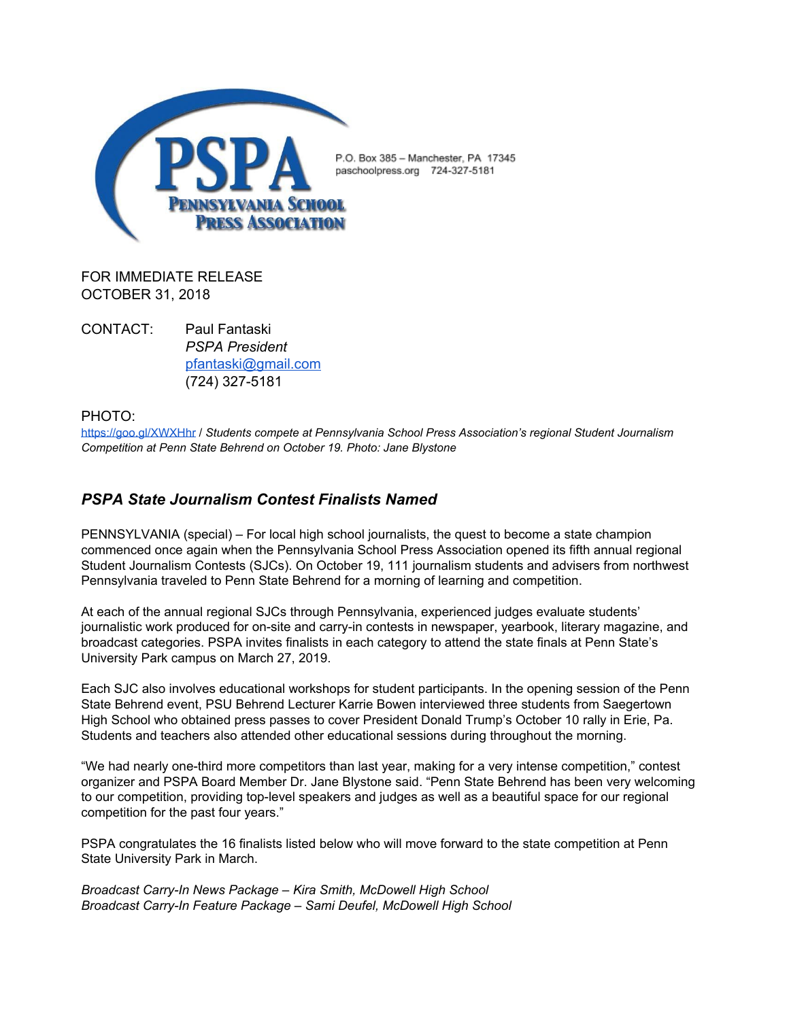

FOR IMMEDIATE RELEASE OCTOBER 31, 2018

CONTACT: Paul Fantaski *PSPA President* [pfantaski@gmail.com](mailto:pfantaski@gmail.com) (724) 327-5181

PHOTO:

<https://goo.gl/XWXHhr> / *Students compete at Pennsylvania School Press Association's regional Student Journalism Competition at Penn State Behrend on October 19. Photo: Jane Blystone*

## *PSPA State Journalism Contest Finalists Named*

PENNSYLVANIA (special) – For local high school journalists, the quest to become a state champion commenced once again when the Pennsylvania School Press Association opened its fifth annual regional Student Journalism Contests (SJCs). On October 19, 111 journalism students and advisers from northwest Pennsylvania traveled to Penn State Behrend for a morning of learning and competition.

At each of the annual regional SJCs through Pennsylvania, experienced judges evaluate students' journalistic work produced for on-site and carry-in contests in newspaper, yearbook, literary magazine, and broadcast categories. PSPA invites finalists in each category to attend the state finals at Penn State's University Park campus on March 27, 2019.

Each SJC also involves educational workshops for student participants. In the opening session of the Penn State Behrend event, PSU Behrend Lecturer Karrie Bowen interviewed three students from Saegertown High School who obtained press passes to cover President Donald Trump's October 10 rally in Erie, Pa. Students and teachers also attended other educational sessions during throughout the morning.

"We had nearly one-third more competitors than last year, making for a very intense competition," contest organizer and PSPA Board Member Dr. Jane Blystone said. "Penn State Behrend has been very welcoming to our competition, providing top-level speakers and judges as well as a beautiful space for our regional competition for the past four years."

PSPA congratulates the 16 finalists listed below who will move forward to the state competition at Penn State University Park in March.

*Broadcast Carry-In News Package – Kira Smith, McDowell High School Broadcast Carry-In Feature Package – Sami Deufel, McDowell High School*